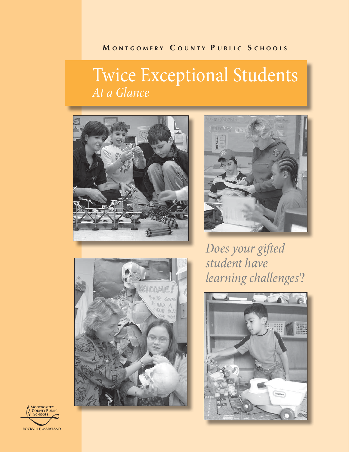## **M ONTGOMERY C OUNTY P UBLIC S CHOOLS**

# Twice Exceptional Students *At a Glance*







*Does your gifted student have learning challenges*?



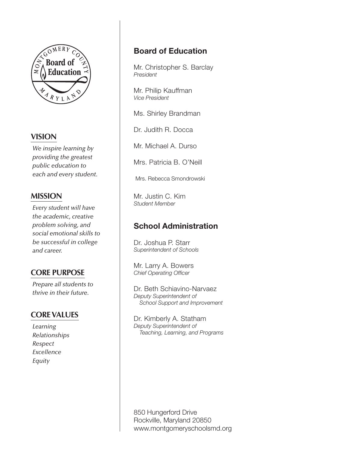

## **VISION**

*We inspire learning by providing the greatest public education to each and every student.*

## **MISSION**

*Every student will have the academic, creative problem solving, and social emotional skills to be successful in college and career.*

## **CORE PURPOSE**

*Prepare all students to thrive in their future.*

## **CORE VALUES**

*Learning Relationships Respect Excellence Equity*

## Board of Education

Mr. Christopher S. Barclay *President*

Mr. Philip Kauffman *Vice President*

Ms. Shirley Brandman

Dr. Judith R. Docca

Mr. Michael A. Durso

Mrs. Patricia B. O'Neill

Mrs. Rebecca Smondrowski

Mr. Justin C. Kim *Student Member*

## School Administration

Dr. Joshua P. Starr *Superintendent of Schools*

Mr. Larry A. Bowers *Chief Operating Officer*

Dr. Beth Schiavino-Narvaez *Deputy Superintendent of School Support and Improvement*

Dr. Kimberly A. Statham *Deputy Superintendent of Teaching, Learning, and Programs*

850 Hungerford Drive Rockville, Maryland 20850 www.montgomeryschoolsmd.org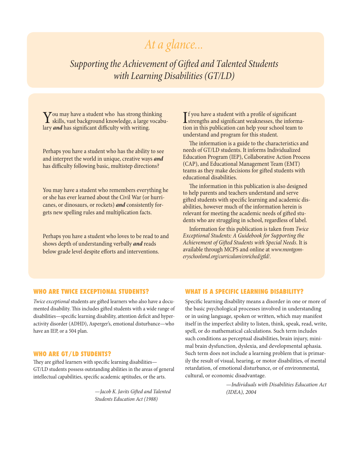## *At a glance...*

*Supporting the Achievement of Gifted and Talented Students with Learning Disabilities (GT/LD)*

 $\sum$  ou may have a student who has strong thinking<br>skills, vast background knowledge, a large vocabu-<br>law and has significant difficulty with writing lary *and* has significant difficulty with writing.

Perhaps you have a student who has the ability to see and interpret the world in unique, creative ways *and* has difficulty following basic, multistep directions?

You may have a student who remembers everything he or she has ever learned about the Civil War (or hurricanes, or dinosaurs, or rockets) *and* consistently forgets new spelling rules and multiplication facts.

Perhaps you have a student who loves to be read to and shows depth of understanding verbally *and* reads below grade level despite efforts and interventions.

If you have a student with a profile of significant<br>strengths and significant weaknesses, the informa-<br>tion in this publication are help way asked to the to- $\mathbb T$  f you have a student with a profile of significant tion in this publication can help your school team to understand and program for this student.

The information is a guide to the characteristics and needs of GT/LD students. It informs Individualized Education Program (IEP), Collaborative Action Process (CAP), and Educational Management Team (EMT) teams as they make decisions for gifted students with educational disabilities.

The information in this publication is also designed to help parents and teachers understand and serve gifted students with specific learning and academic disabilities, however much of the information herein is relevant for meeting the academic needs of gifted students who are struggling in school, regardless of label.

Information for this publication is taken from *Twice Exceptional Students: A Guidebook for Supporting the Achievement of Gifted Students with Special Needs*. It is available through MCPS and online at *www.montgomeryschoolsmd.org/curriculum/enriched/gtld/*.

#### WHO ARE TWICE EXCEPTIONAL STUDENTS?

*Twice exceptional* students are gifted learners who also have a documented disability. This includes gifted students with a wide range of disabilities—specific learning disability, attention deficit and hyperactivity disorder (ADHD), Asperger's, emotional disturbance—who have an IEP, or a 504 plan.

#### WHO ARE GT/LD STUDENTS?

They are gifted learners with specific learning disabilities— GT/LD students possess outstanding abilities in the areas of general intellectual capabilities, specific academic aptitudes, or the arts.

> —*Jacob K. Javits Gifted and Talented Students Education Act (1988)*

#### WHAT IS A SPECIFIC LEARNING DISABILITY?

Specific learning disability means a disorder in one or more of the basic psychological processes involved in understanding or in using language, spoken or written, which may manifest itself in the imperfect ability to listen, think, speak, read, write, spell, or do mathematical calculations. Such term includes such conditions as perceptual disabilities, brain injury, minimal brain dysfunction, dyslexia, and developmental aphasia. Such term does not include a learning problem that is primarily the result of visual, hearing, or motor disabilities, of mental retardation, of emotional disturbance, or of environmental, cultural, or economic disadvantage.

> —*Individuals with Disabilities Education Act (IDEA), 2004*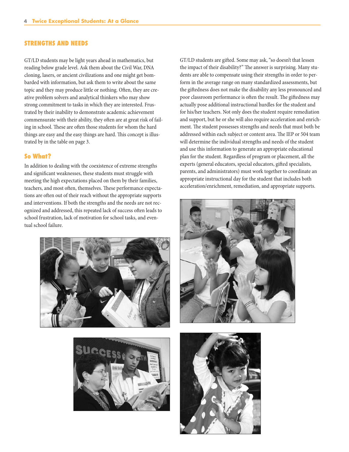#### STRENGTHS AND NEEDS

GT/LD students may be light years ahead in mathematics, but reading below grade level. Ask them about the Civil War, DNA cloning, lasers, or ancient civilizations and one might get bombarded with information, but ask them to write about the same topic and they may produce little or nothing. Often, they are creative problem solvers and analytical thinkers who may show strong commitment to tasks in which they are interested. Frustrated by their inability to demonstrate academic achievement commensurate with their ability, they often are at great risk of failing in school. These are often those students for whom the hard things are easy and the easy things are hard. This concept is illustrated by in the table on page 3.

#### So What?

In addition to dealing with the coexistence of extreme strengths and significant weaknesses, these students must struggle with meeting the high expectations placed on them by their families, teachers, and most often, themselves. These performance expectations are often out of their reach without the appropriate supports and interventions. If both the strengths and the needs are not recognized and addressed, this repeated lack of success often leads to school frustration, lack of motivation for school tasks, and eventual school failure.





GT/LD students are gifted. Some may ask, "so doesn't that lessen the impact of their disability?" The answer is surprising. Many students are able to compensate using their strengths in order to perform in the average range on many standardized assessments, but the giftedness does not make the disability any less pronounced and poor classroom performance is often the result. The giftedness may actually pose additional instructional hurdles for the student and for his/her teachers. Not only does the student require remediation and support, but he or she will also require acceleration and enrichment. The student possesses strengths and needs that must both be addressed within each subject or content area. The IEP or 504 team will determine the individual strengths and needs of the student and use this information to generate an appropriate educational plan for the student. Regardless of program or placement, all the experts (general educators, special educators, gifted specialists, parents, and administrators) must work together to coordinate an appropriate instructional day for the student that includes both acceleration/enrichment, remediation, and appropriate supports.



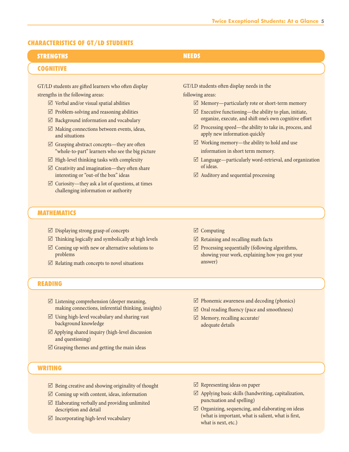#### CHARACTERISTICS OF GT/LD STUDENTS

| <b>STRENGTHS</b>                                         | <b>NEEDS</b>                                                     |
|----------------------------------------------------------|------------------------------------------------------------------|
| <b>COGNITIVE</b>                                         |                                                                  |
|                                                          |                                                                  |
| GT/LD students are gifted learners who often display     | GT/LD students often display needs in the                        |
| strengths in the following areas:                        | following areas:                                                 |
| $\boxtimes$ Verbal and/or visual spatial abilities       | $\boxtimes$ Memory—particularly rote or short-term memory        |
| $\triangleright$ Problem-solving and reasoning abilities | $\boxtimes$ Executive functioning—the ability to plan, initiate, |
| $\boxtimes$ Background information and vocabulary        | organize, execute, and shift one's own cognitive effort          |

- $\boxtimes$  Processing speed—the ability to take in, process, and apply new information quickly
- $\nabla$  Working memory—the ability to hold and use information in short term memory.
- $\boxtimes$  Language—particularly word-retrieval, and organization of ideas.
- $\boxtimes$  Auditory and sequential processing

- MATHEMATICS
	- $\boxtimes$  Displaying strong grasp of concepts
	- $\triangledown$  Thinking logically and symbolically at high levels

 $\boxtimes$  Making connections between events, ideas,

 $\boxtimes$  Grasping abstract concepts—they are often

 $\boxtimes$  High-level thinking tasks with complexity  $\boxtimes$  Creativity and imagination—they often share interesting or "out-of the box" ideas  $\boxtimes$  Curiosity—they ask a lot of questions, at times challenging information or authority

"whole-to-part" learners who see the big picture

and situations

- $\boxtimes$  Coming up with new or alternative solutions to problems
- $\boxtimes$  Relating math concepts to novel situations

#### READING

- $\boxtimes$  Listening comprehension (deeper meaning, making connections, inferential thinking, insights)
- $\boxtimes$  Using high-level vocabulary and sharing vast background knowledge
- $\boxtimes$  Applying shared inquiry (high-level discussion and questioning)
- $\boxtimes$  Grasping themes and getting the main ideas

#### WRITING

- $\boxtimes$  Being creative and showing originality of thought
- $\boxtimes$  Coming up with content, ideas, information
- $\boxtimes$  Elaborating verbally and providing unlimited description and detail
- $\boxtimes$  Incorporating high-level vocabulary
- $\boxtimes$  Computing
- $\triangledown$  Retaining and recalling math facts
- $\boxtimes$  Processing sequentially (following algorithms, showing your work, explaining how you got your answer)
- $\triangledown$  Phonemic awareness and decoding (phonics)
- $\boxtimes$  Oral reading fluency (pace and smoothness)
- $\boxtimes$  Memory, recalling accurate/ adequate details

- $\boxtimes$  Representing ideas on paper
- $\boxtimes$  Applying basic skills (handwriting, capitalization, punctuation and spelling)
- $\boxtimes$  Organizing, sequencing, and elaborating on ideas (what is important, what is salient, what is first, what is next, etc.)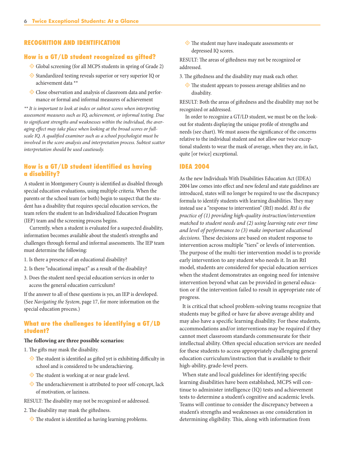#### RECOGNITION AND IDENTIFICATION

#### How is a GT/LD student recognized as gifted?

- ° Global screening (for all MCPS students in spring of Grade 2)
- ° Standardized testing reveals superior or very superior IQ or achievement data \*\*
- ° Close observation and analysis of classroom data and performance or formal and informal measures of achievement

*\*\* It is important to look at index or subtest scores when interpreting assessment measures such as IQ, achievement, or informal testing. Due to significant strengths and weaknesses within the individual, the averaging effect may take place when looking at the broad scores or fullscale IQ. A qualified examiner such as a school psychologist must be involved in the score analysis and interpretation process. Subtest scatter interpretation should be used cautiously.*

#### How is a GT/LD student identified as having a disability?

A student in Montgomery County is identified as disabled through special education evaluations, using multiple criteria. When the parents or the school team (or both) begin to suspect that the student has a disability that requires special education services, the team refers the student to an Individualized Education Program (IEP) team and the screening process begins.

Currently, when a student is evaluated for a suspected disability, information becomes available about the student's strengths and challenges through formal and informal assessments. The IEP team must determine the following:

- 1. Is there a presence of an educational disability?
- 2. Is there "educational impact" as a result of the disability?
- 3. Does the student need special education services in order to access the general education curriculum?

If the answer to all of these questions is yes, an IEP is developed. (See *Navigating the System*, page 17, for more information on the special education process.)

#### What are the challenges to identifying a GT/LD student?

#### **The following are three possible scenarios:**

- 1. The gifts may mask the disability.
	- $\Diamond$  The student is identified as gifted yet is exhibiting difficulty in school and is considered to be underachieving.
	- ◆ The student is working at or near grade level.
	- ° The underachievement is attributed to poor self-concept, lack of motivation, or laziness.
- RESULT: The disability may not be recognized or addressed.
- 2. The disability may mask the giftedness.
	- ° The student is identified as having learning problems.

 ° The student may have inadequate assessments or depressed IQ scores.

RESULT: The areas of giftedness may not be recognized or addressed.

- 3. The giftedness and the disability may mask each other.
	- $\Diamond$  The student appears to possess average abilities and no disability.

RESULT: Both the areas of giftedness and the disability may not be recognized or addressed.

In order to recognize a GT/LD student, we must be on the lookout for students displaying the unique profile of strengths and needs (see chart). We must assess the significance of the concerns relative to the individual student and not allow our twice exceptional students to wear the mask of average, when they are, in fact, quite [or twice] exceptional.

#### IDEA 2004

As the new Individuals With Disabilities Education Act (IDEA) 2004 law comes into effect and new federal and state guidelines are introduced, states will no longer be required to use the discrepancy formula to identify students with learning disabilities. They may instead use a "response to intervention" (RtI) model. *RtI is the practice of (1) providing high-quality instruction/intervention matched to student needs and (2) using learning rate over time and level of performance to (3) make important educational decisions.* These decisions are based on student response to intervention across multiple "tiers" or levels of intervention. The purpose of the multi-tier intervention model is to provide early intervention to any student who needs it. In an RtI model, students are considered for special education services when the student demonstrates an ongoing need for intensive intervention beyond what can be provided in general education or if the intervention failed to result in appropriate rate of progress.

It is critical that school problem-solving teams recognize that students may be gifted or have far above average ability and may also have a specific learning disability. For these students, accommodations and/or interventions may be required if they cannot meet classroom standards commensurate for their intellectual ability. Often special education services are needed for these students to access appropriately challenging general education curriculum/instruction that is available to their high-ability, grade-level peers.

When state and local guidelines for identifying specific learning disabilities have been established, MCPS will continue to administer intelligence (IQ) tests and achievement tests to determine a student's cognitive and academic levels. Teams will continue to consider the discrepancy between a student's strengths and weaknesses as one consideration in determining eligibility. This, along with information from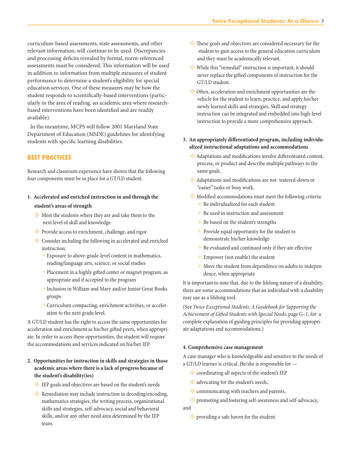curriculum-based assessments, state assessments, and other relevant information, will continue to be used. Discrepancies and processing deficits revealed by formal, norm-referenced assessments must be considered. This information will be used in addition to information from multiple measures of student performance to determine a student's eligibility for special education services. One of these measures may be how the student responds to scientifically-based interventions (particularly in the area of reading, an academic area where researchbased interventions have been identified and are readily available).

In the meantime, MCPS will follow 2001 Maryland State Department of Education (MSDE) guidelines for identifying students with specific learning disabilities.

#### BEST PRACTICES

Research and classroom experience have shown that the following four components must be in place for a GT/LD student.

### **1. Accelerated and enriched instruction in and through the**

#### **student's areas of strength**

- $\diamondsuit$  Meet the students where they are and take them to the next level of skill and knowledge.
- ◆ Provide access to enrichment, challenge, and rigor.
- $\diamondsuit$  Consider including the following in accelerated and enriched instruction:
	- $+$ Exposure to above-grade-level content in mathematics, reading/language arts, science, or social studies
	- $+$ Placement in a highly gifted center or magnet program, as appropriate and if accepted to the program
	- ÆInclusion in William and Mary and/or Junior Great Books groups
	- $+$  Curriculum compacting, enrichment activities, or acceleration to the next grade level.

A GT/LD student has the right to access the same opportunities for acceleration and enrichment as his/her gifted peers, when appropriate. In order to access these opportunities, the student will require the accommodations and services indicated on his/her IEP.

#### **2. Opportunities for instruction in skills and strategies in those academic areas where there is a lack of progress because of the student's disability(ies)**

- ° IEP goals and objectives are based on the student's needs
- $\diamondsuit$  Remediation may include instruction in decoding/encoding, mathematics strategies, the writing process, organizational skills and strategies, self-advocacy, social and behavioral skills, and/or any other need area determined by the IEP team.
- $\diamondsuit$  These goals and objectives are considered necessary for the student to gain access to the general education curriculum and they must be academically relevant.
- $\diamondsuit$  While this "remedial" instruction is important, it should never replace the gifted components of instruction for the GT/LD student.
- ° Often, acceleration and enrichment opportunities are the vehicle for the student to learn, practice, and apply his/her newly learned skills and strategies. Skill and strategy instruction can be integrated and embedded into high-level instruction to provide a more comprehensive approach.

#### **3. An appropriately differentiated program, including individualized instructional adaptations and accommodations**

- ° Adaptations and modifications involve differentiated content, process, or product and describe multiple pathways to the same goals.
- ° Adaptations and modifications are not watered-down or "easier" tasks or busy work.
- ° Modified accommodations must meet the following criteria:  $+$  Be individualized for each student
	- $\pm$  Be used in instruction and assessment
	- $+$  Be based on the student's strengths
	- $+$  Provide equal opportunity for the student to demonstrate his/her knowledge
	- $+$  Be evaluated and continued only if they are effective
	- $+$  Empower (not enable) the student
	- $+$  Move the student from dependence on adults to independence, when appropriate

It is important to note that, due to the lifelong nature of a disability, there are some accommodations that an individual with a disability may use as a lifelong tool.

(See *Twice Exceptional Students: A Guidebook for Supporting the Achievement of Gifted Students with Special Needs*, page G–1, for a complete explanation of guiding principles for providing appropriate adaptations and accommodations.)

#### **4. Comprehensive case management**

A case manager who is knowledgeable and sensitive to the needs of a GT/LD learner is critical. He/she is responsible for —

- $\diamondsuit$  coordinating all aspects of the student's IEP
- $\diamondsuit$  advocating for the student's needs,
- **♦ communicating with teachers and parents,**

 ° promoting and fostering self-awareness and self-advocacy, and

 ° providing a safe haven for the student.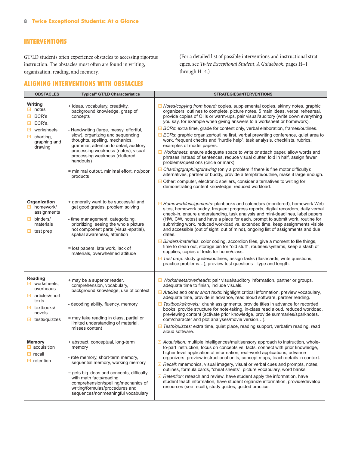#### INTERVENTIONS

GT/LD students often experience obstacles to accessing rigorous instruction. The obstacles most often are found in writing, organization, reading, and memory.

#### ALIGNING INTERVENTIONS WITH OBSTACLES

(For a detailed list of possible interventions and instructional strategies, see *Twice Exceptional Student*, *A Guidebook,* pages H–1 through H–4.)

| <b>OBSTACLES</b>                                                                                                                                                     | "Typical" GT/LD Characteristics                                                                                                                                                                                                                                                                                                                                                          | <b>STRATEGIES/INTERVENTIONS</b>                                                                                                                                                                                                                                                                                                                                                                                                                                                                                                                                                                                                                                                                                                                                                                                                                                                                                                                                                                                                                                                                                                                             |
|----------------------------------------------------------------------------------------------------------------------------------------------------------------------|------------------------------------------------------------------------------------------------------------------------------------------------------------------------------------------------------------------------------------------------------------------------------------------------------------------------------------------------------------------------------------------|-------------------------------------------------------------------------------------------------------------------------------------------------------------------------------------------------------------------------------------------------------------------------------------------------------------------------------------------------------------------------------------------------------------------------------------------------------------------------------------------------------------------------------------------------------------------------------------------------------------------------------------------------------------------------------------------------------------------------------------------------------------------------------------------------------------------------------------------------------------------------------------------------------------------------------------------------------------------------------------------------------------------------------------------------------------------------------------------------------------------------------------------------------------|
| Writing<br>$\Box$ notes<br>$\Box$ BCR's<br>$\Box$ ECR's,<br>worksheets<br>⊡.<br>charting,<br>⊡.<br>graphing and<br>drawing                                           | + ideas, vocabulary, creativity,<br>background knowledge, grasp of<br>concepts<br>- Handwriting (large, messy, effortful,<br>slow), organizing and sequencing<br>thoughts, spelling, mechanics,<br>grammar, attention to detail, auditory<br>processing weakness (notes), visual<br>processing weakness (cluttered<br>handouts)<br>= minimal output, minimal effort, no/poor<br>products | I Notes/copying from board: copies, supplemental copies, skinny notes, graphic<br>organizers, outlines to complete, picture notes, 5 main ideas, verbal rehearsal,<br>provide copies of OHs or warm-ups, pair visual/auditory (write down everything<br>you say, for example when giving answers to a worksheet or homework).<br><b>El BCRs:</b> extra time, grade for content only, verbal elaboration, frames/outlines.<br>E ECRs: graphic organizer/outline first, verbal prewriting conference, quiet area to<br>work, frequent checks and "hurdle help", task analysis, checklists, rubrics,<br>examples of model papers.<br>□ Worksheets: ensure adequate space to write or attach paper, allow words and<br>phrases instead of sentences, reduce visual clutter, fold in half, assign fewer<br>problems/questions (circle or mark).<br>$\Box$ Charting/graphing/drawing (only a problem if there is fine motor difficulty):<br>alternatives, partner or buddy, provide a template/outline, make it large enough.<br>Other: computer, electronic spellers, consider alternatives to writing for<br>demonstrating content knowledge, reduced workload. |
| Organization<br>$\Box$ homework/<br>assignments<br>$\Box$ binders/<br>materials<br>$\Box$ test prep                                                                  | + generally want to be successful and<br>get good grades, problem solving<br>- time management, categorizing,<br>prioritizing, seeing the whole picture<br>not component parts (visual-spatial),<br>spatial awareness, attention<br>= lost papers, late work, lack of<br>materials, overwhelmed attitude                                                                                 | $\Box$ Homework/assignments: planbooks and calendars (monitored), homework Web<br>sites, homework buddy, frequent progress reports, digital recorders, daily verbal<br>check-in, ensure understanding, task analysis and mini-deadlines, label papers<br>(HW, CW, notes) and have a place for each, prompt to submit work, routine for<br>submitting work, reduced workload vs. extended time, keep assignments visible<br>and accessible (out of sight, out of mind), ongoing list of assignments and due<br>dates.<br>$\Box$ Binders/materials: color coding, accordion files, give a moment to file things,<br>time to clean out, storage bin for "old stuff", routines/systems, keep a stash of<br>supplies, copies of texts for home/class.<br>Test prep: study guides/outlines, assign tasks (flashcards, write questions,<br>practice problems), preview test questions—type and length.                                                                                                                                                                                                                                                             |
| Reading<br>$\blacksquare$ worksheets,<br>overheads<br>$\Box$ articles/short<br>texts<br>$\Box$ textbooks/<br>novels<br>$\blacksquare$ tests/quizzes<br><b>Memory</b> | + may be a superior reader,<br>comprehension, vocabulary,<br>background knowledge, use of context<br>- decoding ability, fluency, memory<br>= may fake reading in class, partial or<br>limited understanding of material,<br>misses content<br>+ abstract, conceptual, long-term                                                                                                         | U Worksheets/overheads: pair visual/auditory information, partner or groups,<br>adequate time to finish, include visuals.<br>Articles and other short texts: highlight critical information, preview vocabulary,<br>adequate time, provide in advance, read aloud software, partner reading.<br>Textbooks/novels: chunk assignments, provide titles in advance for recorded<br>books, provide structure for note-taking, in-class read aloud, reduced workload,<br>previewing content (activate prior knowledge, provide summaries/sparknotes.<br>com/character and plot analyses/movie version).<br>Tests/quizzes: extra time, quiet place, reading support, verbatim reading, read<br>aloud software.<br>El Acquisition: multiple intelligences/multisensory approach to instruction, whole-                                                                                                                                                                                                                                                                                                                                                              |
| acquisition<br>$\Box$ recall<br>$\Box$ retention                                                                                                                     | memory<br>- rote memory, short-term memory,<br>sequential memory, working memory<br>= gets big ideas and concepts, difficulty<br>with math facts/reading<br>comprehension/spelling/mechanics of<br>writing/formulas/procedures and<br>sequences/nonmeaningful vocabulary                                                                                                                 | to-part instruction, focus on concepts vs. facts, connect with prior knowledge,<br>higher level application of information, real-world applications, advance<br>organizers, preview instructional units, concept maps, teach details in context.<br>Recall: mnemonics, visual imagery, visual or verbal cues and prompts, notes,<br>outlines, formula cards, "cheat sheets", picture vocabulary, word banks.<br>$\Box$ Retention: reteach and review, have student apply the information, have<br>student teach information, have student organize information, provide/develop<br>resources (see recall), study guides, guided practice.                                                                                                                                                                                                                                                                                                                                                                                                                                                                                                                   |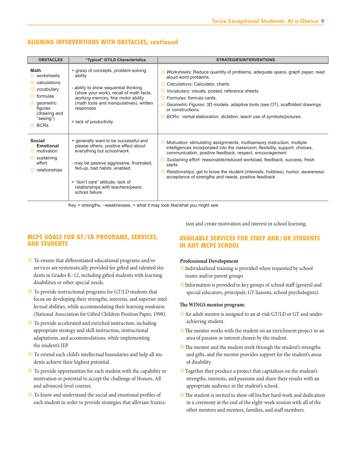#### ALIGNING INTERVENTIONS WITH OBSTACLES, continued

| <b>OBSTACLES</b>                                                                                                                                                           | "Typical" GT/LD Characteristics                                                                                                                                                                                                                                                    | <b>STRATEGIES/INTERVENTIONS</b>                                                                                                                                                                                                                                                                                                                                                                                                                      |
|----------------------------------------------------------------------------------------------------------------------------------------------------------------------------|------------------------------------------------------------------------------------------------------------------------------------------------------------------------------------------------------------------------------------------------------------------------------------|------------------------------------------------------------------------------------------------------------------------------------------------------------------------------------------------------------------------------------------------------------------------------------------------------------------------------------------------------------------------------------------------------------------------------------------------------|
| <b>Math</b><br>$\Box$ worksheets<br>$\Box$ calculations<br>$\Box$ vocabulary<br>$\Box$ formulas<br>$\Box$ geometric<br>figures<br>(drawing and<br>"seeing")<br>$\Box$ BCRs | + grasp of concepts, problem-solving<br>ability<br>- ability to show sequential thinking<br>(show your work), recall of math facts,<br>working memory, fine motor ability<br>(math tools and manipulatives), written<br>responses<br>$=$ lack of productivity                      | Worksheets: Reduce quantity of problems, adequate space, graph paper, read<br>o<br>aloud word problems.<br>Calculations: Calculator, charts.<br>Vocabulary: visuals, posted, reference sheets.<br>$\Box$ Formulas: formula cards.<br>□ Geometric Figures: 3D models, adaptive tools (see OT), scaffolded drawings<br>or constructions.<br>$\Box$ BCRs: verbal elaboration, dictation, teach use of symbols/pictures.                                 |
| Social/<br><b>Emotional</b><br>$\Box$ motivation<br>$\Box$ sustaining<br>effort<br>relationships<br>⊡.                                                                     | + generally want to be successful and<br>please others, positive effect about<br>everything but school/work<br>- may be passive aggressive, frustrated,<br>fed-up, bad habits, enabled<br>= "don't care" attitude, lack of<br>relationships with teachers/peers,<br>school failure | Motivation: stimulating assignments, multisensory instruction, multiple<br>intelligences incorporated into the classroom, flexibility, support, choices,<br>communication, positive feedback, respect, encouragement<br>Sustaining effort: reasonable/reduced workload, feedback, success, fresh<br>starts<br>Relationships: get to know the student (interests, hobbies), humor, awareness/<br>acceptance of strengths and needs, positive feedback |

Key + strengths, –weaknesses, = what it may look like/what you might see

#### MCPS GOALS FOR GT/LD PROGRAMS, SERVICES, AND STUDENTS

- ° To ensure that differentiated educational programs and/or services are systematically provided for gifted and talented students in Grades K–12, including gifted students with learning disabilities or other special needs.
- ° To provide instructional programs for GT/LD students that focus on developing their strengths, interests, and superior intellectual abilities, while accommodating their learning weakness (National Association for Gifted Children Position Paper, 1998).
- ° To provide accelerated and enriched instruction, including appropriate strategy and skill instruction, instructional adaptations, and accommodations, while implementing the student's IEP.
- ° To extend each child's intellectual boundaries and help all students achieve their highest potential.
- $\diamondsuit$  To provide opportunities for each student with the capability or motivation or potential to accept the challenge of Honors, AP, and advanced-level courses.
- $\diamondsuit$  To know and understand the social and emotional profiles of each student in order to provide strategies that alleviate frustra-

tion and create motivation and interest in school learning.

#### AVAILABLE SERVICES FOR STAFF AND/OR STUDENTS IN ANY MCPS SCHOOL

#### **Professional Development**

- $\Diamond$ Individualized training is provided when requested by school teams and/or parent groups
- °Information is provided to key groups of school staff (general and special educators, principals, GT liaisons, school psychologists).

#### **The WINGS mentor program:**

- °An adult mentor is assigned to an at-risk GT/LD or GT and underachieving student.
- °The mentor works with the student on an enrichment project in an area of passion or interest chosen by the student.
- °The mentor and the student work through the student's strengths and gifts, and the mentor provides support for the student's areas of disability.
- °Together they produce a project that capitalizes on the student's strengths, interests, and passions and share their results with an appropriate audience in the student's school.
- $\Diamond$  The student is invited to show off his/her hard work and dedication in a ceremony at the end of the eight-week session with all of the other mentors and mentees, families, and staff members.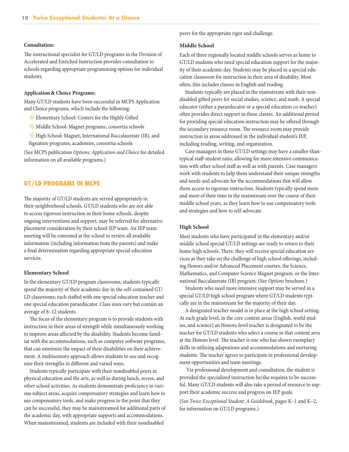#### **Consultation:**

The instructional specialist for GT/LD programs in the Division of Accelerated and Enriched Instruction provides consultation to schools regarding appropriate programming options for individual students.

#### **Application & Choice Programs:**

Many GT/LD students have been successful in MCPS Application and Choice programs, which include the following:

- ° Elementary School: Centers for the Highly Gifted
- ° Middle School: Magnet programs, consortia schools
- ° High School: Magnet, International Baccalaureate (IB), and Signature programs, academies, consortia schools

(See MCPS publication *Options: Application and Choice* for detailed information on all available programs.)

#### GT/LD PROGRAMS IN MCPS

The majority of GT/LD students are served appropriately in their neighborhood schools. GT/LD students who are not able to access rigorous instruction in their home schools, despite ongoing interventions and support, may be referred for alternative placement consideration by their school IEP team. An IEP team meeting will be convened at the school to review all available information (including information from the parents) and make a final determination regarding appropriate special education services.

#### **Elementary School**

In the elementary GT/LD program classrooms, students typically spend the majority of their academic day in the self-contained GT/ LD classrooms; each staffed with one special education teacher and one special education paraeducator. Class sizes vary but contain an average of 8–12 students.

The focus of the elementary program is to provide students with instruction in their areas of strength while simultaneously working to improve areas affected by the disability. Students become familiar with the accommodations, such as computer software programs, that can minimize the impact of their disabilities on their achievement. A multisensory approach allows students to use and recognize their strengths in different and varied ways.

Students typically participate with their nondisabled peers in physical education and the arts, as well as during lunch, recess, and other school activities. As students demonstrate proficiency in various subject areas, acquire compensatory strategies and learn how to use compensatory tools, and make progress to the point that they can be successful, they may be mainstreamed for additional parts of the academic day, with appropriate supports and accommodations. When mainstreamed, students are included with their nondisabled

peers for the appropriate rigor and challenge.

#### **Middle School**

Each of three regionally located middle schools serves as home to GT/LD students who need special education support for the majority of their academic day. Students may be placed in a special education classroom for instruction in their area of disability. Most often, this includes classes in English and reading.

Students typically are placed in the mainstream with their nondisabled gifted peers for social studies, science, and math. A special educator (either a paraeducator or a special education co-teacher) often provides direct support in these classes. An additional period for providing special education instruction may be offered through the secondary resource room. The resource room may provide instruction in areas addressed in the individual student's IEP, including reading, writing, and organization.

Case managers in these GT/LD settings may have a smaller-thantypical staff-student ratio, allowing for more intensive communication with other school staff as well as with parents. Case managers work with students to help them understand their unique strengths and needs and advocate for the accommodations that will allow them access to rigorous instruction. Students typically spend more and more of their time in the mainstream over the course of their middle school years, as they learn how to use compensatory tools and strategies and how to self-advocate.

#### **High School**

Most students who have participated in the elementary and/or middle school special GT/LD settings are ready to return to their home high schools. There, they will receive special education services as they take on the challenge of high school offerings, including Honors and/or Advanced Placement courses, the Science, Mathematics, and Computer Science Magnet program, or the International Baccalaureate (IB) program. (See *Options* brochure.)

Students who need more intensive support may be served in a special GT/LD high school program where GT/LD students typically are in the mainstream for the majority of their day.

A designated teacher model is in place at the high school setting. At each grade level, in the core content areas (English, world studies, and science) an Honors-level teacher is designated to be the teacher for GT/LD students who select a course in that content area at the Honors level. The teacher is one who has shown exemplary skills in utilizing adaptations and accommodations and nurturing students. The teacher agrees to participate in professional development opportunities and team meetings.

Via professional development and consultation, the student is provided the specialized instruction he/she requires to be successful. Many GT/LD students will also take a period of resource to support their academic success and progress on IEP goals.

(See *Twice Exceptional Student: A Guidebook*, pages K–1 and K–2, for information on GT/LD programs.)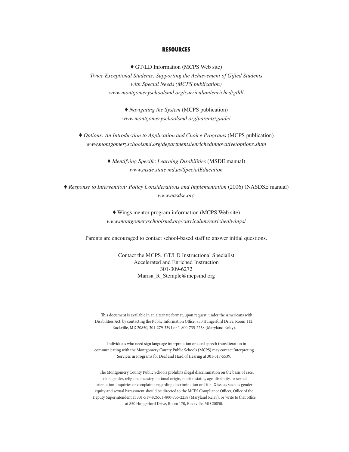#### RESOURCES

♦ GT/LD Information (MCPS Web site) *Twice Exceptional Students: Supporting the Achievement of Gifted Students with Special Needs (MCPS publication) www.montgomeryschoolsmd.org/curriculum/enriched/gtld/*

> ♦ *Navigating the System* (MCPS publication) *www.montgomeryschoolsmd.org/parents/guide/*

♦ *Options: An Introduction to Application and Choice Programs* (MCPS publication) *www.montgomeryschoolsmd.org/departments/enrichedinnovative/options.shtm*

> ♦ *Identifying Specific Learning Disabilities* (MSDE manual) *www.msde.state.md.us/SpecialEducation*

♦ *Response to Intervention: Policy Considerations and Implementation* (2006) (NASDSE manual) *www.nasdse.org*

> ♦ Wings mentor program information (MCPS Web site) *www.montgomeryschoolsmd.org/curriculum/enriched/wings/*

Parents are encouraged to contact school-based staff to answer initial questions.

Contact the MCPS, GT/LD Instructional Specialist Accelerated and Enriched Instruction 301-309-6272 Marisa\_R\_Stemple@mcpsmd.org

This document is available in an alternate format, upon request, under the Americans with Disabilities Act, by contacting the Public Information Office, 850 Hungerford Drive, Room 112, Rockville, MD 20850, 301-279-3391 or 1-800-735-2258 (Maryland Relay).

Individuals who need sign language interpretation or cued speech transliteration in communicating with the Montgomery County Public Schools (MCPS) may contact Interpreting Services in Programs for Deaf and Hard of Hearing at 301-517-5539.

The Montgomery County Public Schools prohibits illegal discrimination on the basis of race, color, gender, religion, ancestry, national origin, marital status, age, disability, or sexual orientation. Inquiries or complaints regarding discrimination or Title IX issues such as gender equity and sexual harassment should be directed to the MCPS Compliance Officer, Office of the Deputy Superintendent at 301-517-8265, 1-800-735-2258 (Maryland Relay), or write to that office at 850 Hungerford Drive, Room 170, Rockville, MD 20850.